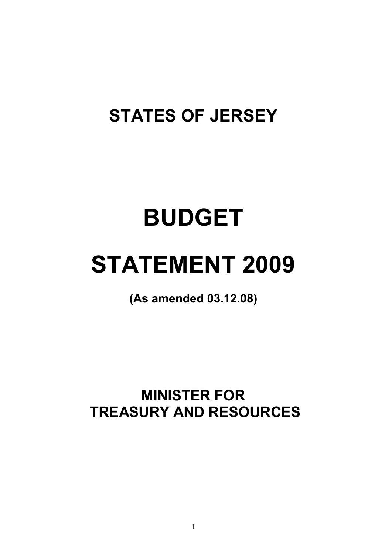## **STATES OF JERSEY**

# **BUDGET**

# **STATEMENT 2009**

**(As amended 03.12.08)** 

**MINISTER FOR TREASURY AND RESOURCES**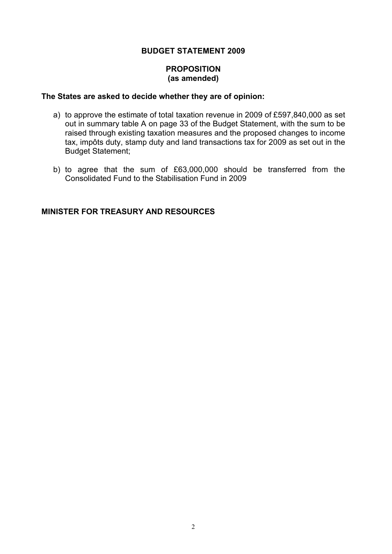#### **BUDGET STATEMENT 2009**

#### **PROPOSITION (as amended)**

#### **The States are asked to decide whether they are of opinion:**

- a) to approve the estimate of total taxation revenue in 2009 of £597,840,000 as set out in summary table A on page 33 of the Budget Statement, with the sum to be raised through existing taxation measures and the proposed changes to income tax, impôts duty, stamp duty and land transactions tax for 2009 as set out in the Budget Statement;
- b) to agree that the sum of £63,000,000 should be transferred from the Consolidated Fund to the Stabilisation Fund in 2009

#### **MINISTER FOR TREASURY AND RESOURCES**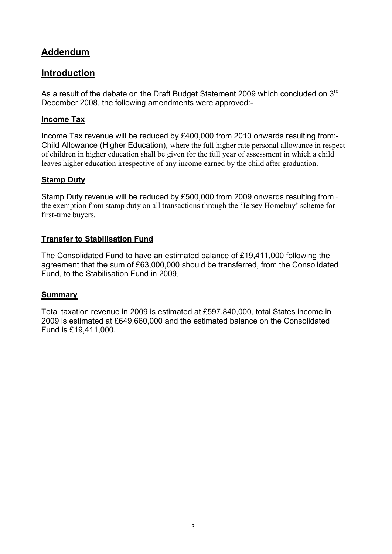#### <span id="page-2-0"></span>**Addendum**

#### **Introduction**

As a result of the debate on the Draft Budget Statement 2009 which concluded on  $3<sup>rd</sup>$ December 2008, the following amendments were approved:-

#### **Income Tax**

Income Tax revenue will be reduced by £400,000 from 2010 onwards resulting from:- Child Allowance (Higher Education), where the full higher rate personal allowance in respect of children in higher education shall be given for the full year of assessment in which a child leaves higher education irrespective of any income earned by the child after graduation.

#### **Stamp Duty**

Stamp Duty revenue will be reduced by £500,000 from 2009 onwards resulting from the exemption from stamp duty on all transactions through the 'Jersey Homebuy' scheme for first-time buyers.

#### **Transfer to Stabilisation Fund**

The Consolidated Fund to have an estimated balance of £19,411,000 following the agreement that the sum of £63,000,000 should be transferred, from the Consolidated Fund, to the Stabilisation Fund in 2009.

#### **Summary**

Total taxation revenue in 2009 is estimated at £597,840,000, total States income in 2009 is estimated at £649,660,000 and the estimated balance on the Consolidated Fund is £19,411,000.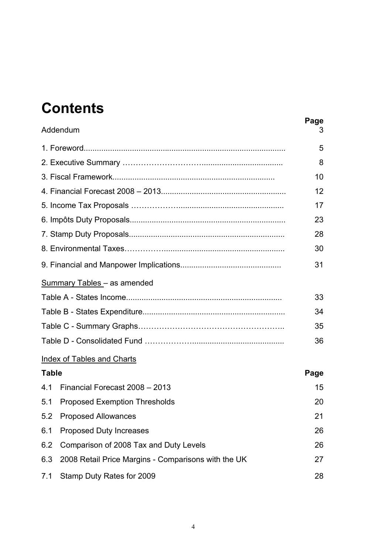### **Contents**

|              | Addendum                                            | Page<br>3 |  |  |  |
|--------------|-----------------------------------------------------|-----------|--|--|--|
|              |                                                     | 5         |  |  |  |
|              |                                                     | 8         |  |  |  |
|              |                                                     | 10        |  |  |  |
|              |                                                     | 12        |  |  |  |
|              |                                                     | 17        |  |  |  |
|              |                                                     | 23        |  |  |  |
|              |                                                     | 28        |  |  |  |
|              |                                                     | 30        |  |  |  |
|              |                                                     | 31        |  |  |  |
|              | Summary Tables - as amended                         |           |  |  |  |
|              |                                                     | 33        |  |  |  |
| 34           |                                                     |           |  |  |  |
|              |                                                     | 35        |  |  |  |
|              |                                                     | 36        |  |  |  |
|              | <b>Index of Tables and Charts</b>                   |           |  |  |  |
| <b>Table</b> |                                                     | Page      |  |  |  |
| 4.1          | Financial Forecast 2008 - 2013                      | 15        |  |  |  |
| 5.1          | <b>Proposed Exemption Thresholds</b>                | 20        |  |  |  |
| 5.2          | <b>Proposed Allowances</b>                          | 21        |  |  |  |
| 6.1          | <b>Proposed Duty Increases</b>                      | 26        |  |  |  |
| 6.2          | Comparison of 2008 Tax and Duty Levels              | 26        |  |  |  |
| 6.3          | 2008 Retail Price Margins - Comparisons with the UK | 27        |  |  |  |
| 7.1          | Stamp Duty Rates for 2009                           | 28        |  |  |  |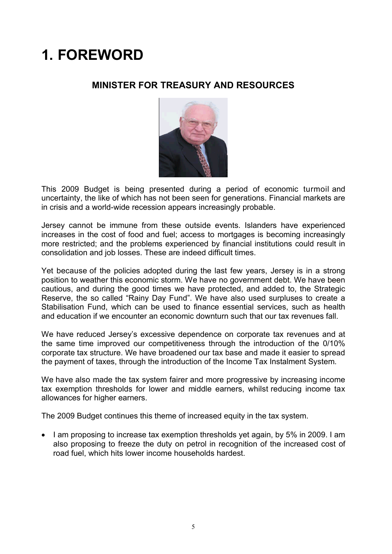## <span id="page-4-0"></span>**1. FOREWORD**

#### **MINISTER FOR TREASURY AND RESOURCES**



This 2009 Budget is being presented during a period of economic turmoil and uncertainty, the like of which has not been seen for generations. Financial markets are in crisis and a world-wide recession appears increasingly probable.

Jersey cannot be immune from these outside events. Islanders have experienced increases in the cost of food and fuel; access to mortgages is becoming increasingly more restricted; and the problems experienced by financial institutions could result in consolidation and job losses. These are indeed difficult times.

Yet because of the policies adopted during the last few years, Jersey is in a strong position to weather this economic storm. We have no government debt. We have been cautious, and during the good times we have protected, and added to, the Strategic Reserve, the so called "Rainy Day Fund". We have also used surpluses to create a Stabilisation Fund, which can be used to finance essential services, such as health and education if we encounter an economic downturn such that our tax revenues fall.

We have reduced Jersey's excessive dependence on corporate tax revenues and at the same time improved our competitiveness through the introduction of the 0/10% corporate tax structure. We have broadened our tax base and made it easier to spread the payment of taxes, through the introduction of the Income Tax Instalment System.

We have also made the tax system fairer and more progressive by increasing income tax exemption thresholds for lower and middle earners, whilst reducing income tax allowances for higher earners.

The 2009 Budget continues this theme of increased equity in the tax system.

• I am proposing to increase tax exemption thresholds yet again, by 5% in 2009. I am also proposing to freeze the duty on petrol in recognition of the increased cost of road fuel, which hits lower income households hardest.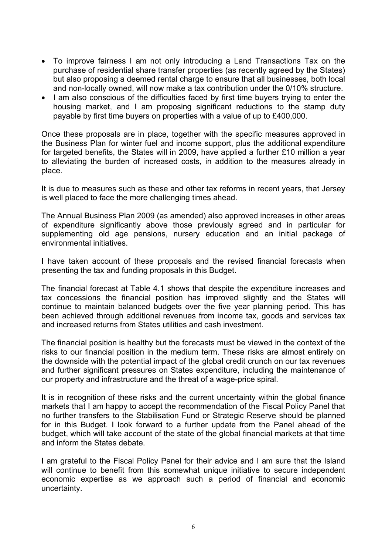- To improve fairness I am not only introducing a Land Transactions Tax on the purchase of residential share transfer properties (as recently agreed by the States) but also proposing a deemed rental charge to ensure that all businesses, both local and non-locally owned, will now make a tax contribution under the 0/10% structure.
- I am also conscious of the difficulties faced by first time buyers trying to enter the housing market, and I am proposing significant reductions to the stamp duty payable by first time buyers on properties with a value of up to £400,000.

Once these proposals are in place, together with the specific measures approved in the Business Plan for winter fuel and income support, plus the additional expenditure for targeted benefits, the States will in 2009, have applied a further £10 million a year to alleviating the burden of increased costs, in addition to the measures already in place.

It is due to measures such as these and other tax reforms in recent years, that Jersey is well placed to face the more challenging times ahead.

The Annual Business Plan 2009 (as amended) also approved increases in other areas of expenditure significantly above those previously agreed and in particular for supplementing old age pensions, nursery education and an initial package of environmental initiatives.

I have taken account of these proposals and the revised financial forecasts when presenting the tax and funding proposals in this Budget.

The financial forecast at Table 4.1 shows that despite the expenditure increases and tax concessions the financial position has improved slightly and the States will continue to maintain balanced budgets over the five year planning period. This has been achieved through additional revenues from income tax, goods and services tax and increased returns from States utilities and cash investment.

The financial position is healthy but the forecasts must be viewed in the context of the risks to our financial position in the medium term. These risks are almost entirely on the downside with the potential impact of the global credit crunch on our tax revenues and further significant pressures on States expenditure, including the maintenance of our property and infrastructure and the threat of a wage-price spiral.

It is in recognition of these risks and the current uncertainty within the global finance markets that I am happy to accept the recommendation of the Fiscal Policy Panel that no further transfers to the Stabilisation Fund or Strategic Reserve should be planned for in this Budget. I look forward to a further update from the Panel ahead of the budget, which will take account of the state of the global financial markets at that time and inform the States debate.

I am grateful to the Fiscal Policy Panel for their advice and I am sure that the Island will continue to benefit from this somewhat unique initiative to secure independent economic expertise as we approach such a period of financial and economic uncertainty.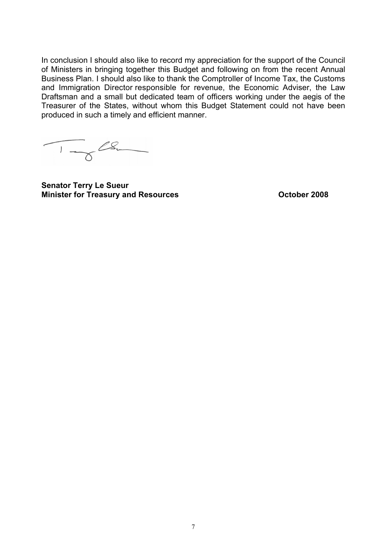In conclusion I should also like to record my appreciation for the support of the Council of Ministers in bringing together this Budget and following on from the recent Annual Business Plan. I should also like to thank the Comptroller of Income Tax, the Customs and Immigration Director responsible for revenue, the Economic Adviser, the Law Draftsman and a small but dedicated team of officers working under the aegis of the Treasurer of the States, without whom this Budget Statement could not have been produced in such a timely and efficient manner.

 $\frac{1}{\sqrt{2\pi}}$ 

**Senator Terry Le Sueur Minister for Treasury and Resources Contract Contract Contract Presenting Contract Presenting Contract Present**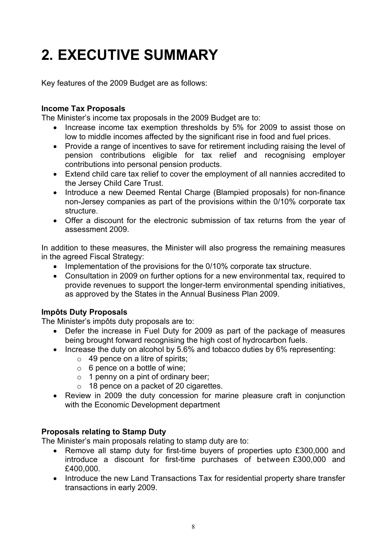## <span id="page-7-0"></span>**2. EXECUTIVE SUMMARY**

Key features of the 2009 Budget are as follows:

#### **Income Tax Proposals**

The Minister's income tax proposals in the 2009 Budget are to:

- Increase income tax exemption thresholds by 5% for 2009 to assist those on low to middle incomes affected by the significant rise in food and fuel prices.
- contributions into personal pension products. Provide a range of incentives to save for retirement including raising the level of pension contributions eligible for tax relief and recognising employer
- Extend child care tax relief to cover the employment of all nannies accredited to the Jersey Child Care Trust.
- Introduce a new Deemed Rental Charge (Blampied proposals) for non-finance non-Jersey companies as part of the provisions within the 0/10% corporate tax structure.
- Offer a discount for the electronic submission of tax returns from the year of assessment 2009.

In addition to these measures, the Minister will also progress the remaining measures in the agreed Fiscal Strategy:

- Implementation of the provisions for the 0/10% corporate tax structure.
- Consultation in 2009 on further options for a new environmental tax, required to provide revenues to support the longer-term environmental spending initiatives, as approved by the States in the Annual Business Plan 2009.

#### **Impôts Duty Proposals**

The Minister's impôts duty proposals are to:

- Defer the increase in Fuel Duty for 2009 as part of the package of measures being brought forward recognising the high cost of hydrocarbon fuels.
- Increase the duty on alcohol by 5.6% and tobacco duties by 6% representing:
	- $\circ$  49 pence on a litre of spirits;
	- $\circ$  6 pence on a bottle of wine;
	- $\circ$  1 penny on a pint of ordinary beer;
	- $\circ$  18 pence on a packet of 20 cigarettes.
- Review in 2009 the duty concession for marine pleasure craft in conjunction with the Economic Development department

#### **Proposals relating to Stamp Duty**

The Minister's main proposals relating to stamp duty are to:

- Remove all stamp duty for first-time buyers of properties upto £300,000 and introduce a discount for first-time purchases of between £300,000 and £400,000.
- Introduce the new Land Transactions Tax for residential property share transfer transactions in early 2009.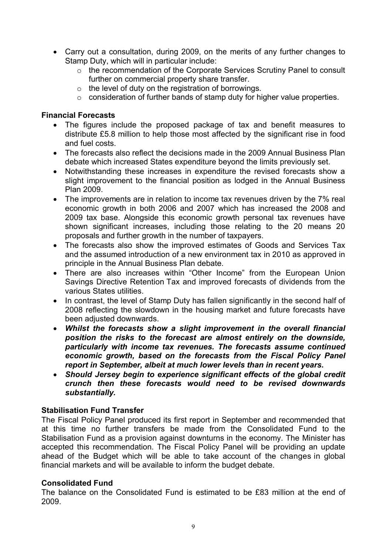- Carry out a consultation, during 2009, on the merits of any further changes to Stamp Duty, which will in particular include:
	- o the recommendation of the Corporate Services Scrutiny Panel to consult further on commercial property share transfer.
	- $\circ$  the level of duty on the registration of borrowings.
	- $\circ$  consideration of further bands of stamp duty for higher value properties.

#### **Financial Forecasts**

- The figures include the proposed package of tax and benefit measures to distribute £5.8 million to help those most affected by the significant rise in food and fuel costs.
- The forecasts also reflect the decisions made in the 2009 Annual Business Plan debate which increased States expenditure beyond the limits previously set.
- Notwithstanding these increases in expenditure the revised forecasts show a slight improvement to the financial position as lodged in the Annual Business Plan 2009.
- The improvements are in relation to income tax revenues driven by the 7% real economic growth in both 2006 and 2007 which has increased the 2008 and 2009 tax base. Alongside this economic growth personal tax revenues have shown significant increases, including those relating to the 20 means 20 proposals and further growth in the number of taxpayers.
- The forecasts also show the improved estimates of Goods and Services Tax and the assumed introduction of a new environment tax in 2010 as approved in principle in the Annual Business Plan debate.
- There are also increases within "Other Income" from the European Union Savings Directive Retention Tax and improved forecasts of dividends from the various States utilities.
- In contrast, the level of Stamp Duty has fallen significantly in the second half of 2008 reflecting the slowdown in the housing market and future forecasts have been adjusted downwards.
- *Whilst the forecasts show a slight improvement in the overall financial position the risks to the forecast are almost entirely on the downside, particularly with income tax revenues. The forecasts assume continued economic growth, based on the forecasts from the Fiscal Policy Panel report in September, albeit at much lower levels than in recent years.*
- *Should Jersey begin to experience significant effects of the global credit crunch then these forecasts would need to be revised downwards substantially.*

#### **Stabilisation Fund Transfer**

The Fiscal Policy Panel produced its first report in September and recommended that at this time no further transfers be made from the Consolidated Fund to the Stabilisation Fund as a provision against downturns in the economy. The Minister has accepted this recommendation. The Fiscal Policy Panel will be providing an update ahead of the Budget which will be able to take account of the changes in global financial markets and will be available to inform the budget debate.

#### **Consolidated Fund**

The balance on the Consolidated Fund is estimated to be £83 million at the end of 2009.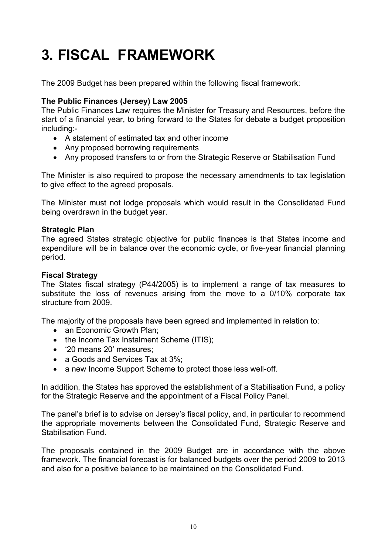## <span id="page-9-0"></span>**3. FISCAL FRAMEWORK**

The 2009 Budget has been prepared within the following fiscal framework:

#### **The Public Finances (Jersey) Law 2005**

The Public Finances Law requires the Minister for Treasury and Resources, before the start of a financial year, to bring forward to the States for debate a budget proposition including:-

- A statement of estimated tax and other income
- Any proposed borrowing requirements
- Any proposed transfers to or from the Strategic Reserve or Stabilisation Fund

The Minister is also required to propose the necessary amendments to tax legislation to give effect to the agreed proposals.

The Minister must not lodge proposals which would result in the Consolidated Fund being overdrawn in the budget year.

#### **Strategic Plan**

The agreed States strategic objective for public finances is that States income and expenditure will be in balance over the economic cycle, or five-year financial planning period.

#### **Fiscal Strategy**

The States fiscal strategy (P44/2005) is to implement a range of tax measures to substitute the loss of revenues arising from the move to a 0/10% corporate tax structure from 2009.

The majority of the proposals have been agreed and implemented in relation to:

- an Economic Growth Plan;
- the Income Tax Instalment Scheme (ITIS);
- '20 means 20' measures;
- a Goods and Services Tax at 3%;
- a new Income Support Scheme to protect those less well-off.

In addition, the States has approved the establishment of a Stabilisation Fund, a policy for the Strategic Reserve and the appointment of a Fiscal Policy Panel.

The panel's brief is to advise on Jersey's fiscal policy, and, in particular to recommend the appropriate movements between the Consolidated Fund, Strategic Reserve and Stabilisation Fund.

The proposals contained in the 2009 Budget are in accordance with the above framework. The financial forecast is for balanced budgets over the period 2009 to 2013 and also for a positive balance to be maintained on the Consolidated Fund.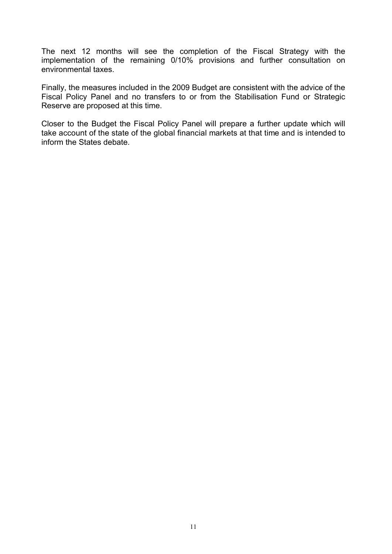The next 12 months will see the completion of the Fiscal Strategy with the implementation of the remaining 0/10% provisions and further consultation on environmental taxes.

Finally, the measures included in the 2009 Budget are consistent with the advice of the Fiscal Policy Panel and no transfers to or from the Stabilisation Fund or Strategic Reserve are proposed at this time.

Closer to the Budget the Fiscal Policy Panel will prepare a further update which will take account of the state of the global financial markets at that time and is intended to inform the States debate.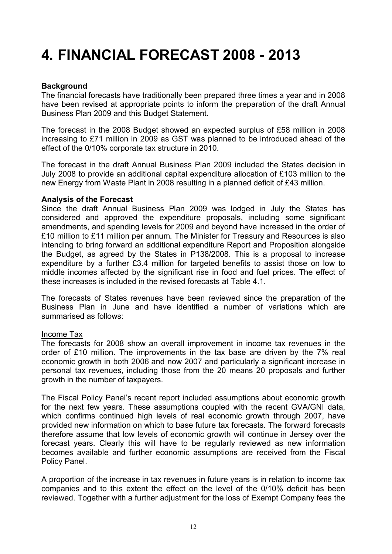### <span id="page-11-0"></span>**4. FINANCIAL FORECAST 2008 - 2013**

#### **Background**

The financial forecasts have traditionally been prepared three times a year and in 2008 have been revised at appropriate points to inform the preparation of the draft Annual Business Plan 2009 and this Budget Statement.

The forecast in the 2008 Budget showed an expected surplus of £58 million in 2008 increasing to £71 million in 2009 as GST was planned to be introduced ahead of the effect of the 0/10% corporate tax structure in 2010.

The forecast in the draft Annual Business Plan 2009 included the States decision in July 2008 to provide an additional capital expenditure allocation of £103 million to the new Energy from Waste Plant in 2008 resulting in a planned deficit of £43 million.

#### **Analysis of the Forecast**

Since the draft Annual Business Plan 2009 was lodged in July the States has considered and approved the expenditure proposals, including some significant amendments, and spending levels for 2009 and beyond have increased in the order of £10 million to £11 million per annum. The Minister for Treasury and Resources is also intending to bring forward an additional expenditure Report and Proposition alongside the Budget, as agreed by the States in P138/2008. This is a proposal to increase expenditure by a further £3.4 million for targeted benefits to assist those on low to middle incomes affected by the significant rise in food and fuel prices. The effect of these increases is included in the revised forecasts at Table 4.1.

The forecasts of States revenues have been reviewed since the preparation of the Business Plan in June and have identified a number of variations which are summarised as follows:

#### Income Tax

The forecasts for 2008 show an overall improvement in income tax revenues in the order of £10 million. The improvements in the tax base are driven by the 7% real economic growth in both 2006 and now 2007 and particularly a significant increase in personal tax revenues, including those from the 20 means 20 proposals and further growth in the number of taxpayers.

The Fiscal Policy Panel's recent report included assumptions about economic growth for the next few years. These assumptions coupled with the recent GVA/GNI data, which confirms continued high levels of real economic growth through 2007, have provided new information on which to base future tax forecasts. The forward forecasts therefore assume that low levels of economic growth will continue in Jersey over the forecast years. Clearly this will have to be regularly reviewed as new information becomes available and further economic assumptions are received from the Fiscal Policy Panel.

A proportion of the increase in tax revenues in future years is in relation to income tax companies and to this extent the effect on the level of the 0/10% deficit has been reviewed. Together with a further adjustment for the loss of Exempt Company fees the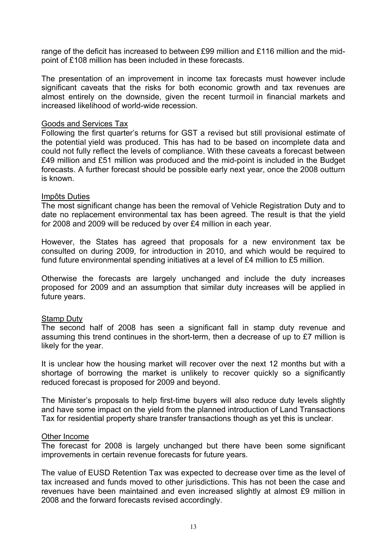range of the deficit has increased to between £99 million and £116 million and the midpoint of £108 million has been included in these forecasts.

The presentation of an improvement in income tax forecasts must however include significant caveats that the risks for both economic growth and tax revenues are almost entirely on the downside, given the recent turmoil in financial markets and increased likelihood of world-wide recession.

#### Goods and Services Tax

Following the first quarter's returns for GST a revised but still provisional estimate of the potential yield was produced. This has had to be based on incomplete data and could not fully reflect the levels of compliance. With these caveats a forecast between £49 million and £51 million was produced and the mid-point is included in the Budget forecasts. A further forecast should be possible early next year, once the 2008 outturn is known.

#### Impôts Duties

The most significant change has been the removal of Vehicle Registration Duty and to date no replacement environmental tax has been agreed. The result is that the yield for 2008 and 2009 will be reduced by over £4 million in each year.

However, the States has agreed that proposals for a new environment tax be consulted on during 2009, for introduction in 2010, and which would be required to fund future environmental spending initiatives at a level of £4 million to £5 million.

Otherwise the forecasts are largely unchanged and include the duty increases proposed for 2009 and an assumption that similar duty increases will be applied in future years.

#### Stamp Duty

The second half of 2008 has seen a significant fall in stamp duty revenue and assuming this trend continues in the short-term, then a decrease of up to £7 million is likely for the year.

It is unclear how the housing market will recover over the next 12 months but with a shortage of borrowing the market is unlikely to recover quickly so a significantly reduced forecast is proposed for 2009 and beyond.

The Minister's proposals to help first-time buyers will also reduce duty levels slightly and have some impact on the yield from the planned introduction of Land Transactions Tax for residential property share transfer transactions though as yet this is unclear.

#### Other Income

The forecast for 2008 is largely unchanged but there have been some significant improvements in certain revenue forecasts for future years.

The value of EUSD Retention Tax was expected to decrease over time as the level of tax increased and funds moved to other jurisdictions. This has not been the case and revenues have been maintained and even increased slightly at almost £9 million in 2008 and the forward forecasts revised accordingly.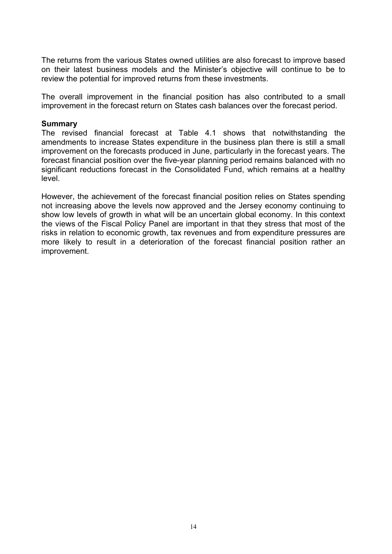The returns from the various States owned utilities are also forecast to improve based on their latest business models and the Minister's objective will continue to be to review the potential for improved returns from these investments.

The overall improvement in the financial position has also contributed to a small improvement in the forecast return on States cash balances over the forecast period.

#### **Summary**

The revised financial forecast at Table 4.1 shows that notwithstanding the amendments to increase States expenditure in the business plan there is still a small improvement on the forecasts produced in June, particularly in the forecast years. The forecast financial position over the five-year planning period remains balanced with no significant reductions forecast in the Consolidated Fund, which remains at a healthy level.

However, the achievement of the forecast financial position relies on States spending not increasing above the levels now approved and the Jersey economy continuing to show low levels of growth in what will be an uncertain global economy. In this context the views of the Fiscal Policy Panel are important in that they stress that most of the risks in relation to economic growth, tax revenues and from expenditure pressures are more likely to result in a deterioration of the forecast financial position rather an improvement.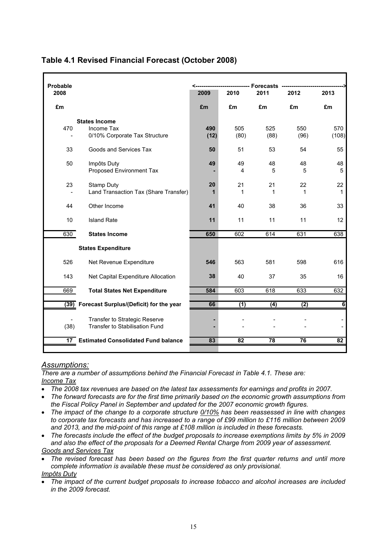| Probable        |                                                                     |             |             | <b>Forecasts</b> |             |              |
|-----------------|---------------------------------------------------------------------|-------------|-------------|------------------|-------------|--------------|
| 2008            |                                                                     | 2009        | 2010        | 2011             | 2012        | 2013         |
| £m              |                                                                     | £m          | £m          | £m               | £m          | £m           |
| 470             | <b>States Income</b><br>Income Tax<br>0/10% Corporate Tax Structure | 490<br>(12) | 505<br>(80) | 525<br>(88)      | 550<br>(96) | 570<br>(108) |
| 33              | Goods and Services Tax                                              | 50          | 51          | 53               | 54          | 55           |
| 50              | Impôts Duty<br>Proposed Environment Tax                             | 49          | 49<br>4     | 48<br>5          | 48<br>5     | 48<br>5      |
| 23              | Stamp Duty<br>Land Transaction Tax (Share Transfer)                 | 20<br>1     | 21<br>1     | 21<br>1          | 22<br>1     | 22<br>1      |
| 44              | Other Income                                                        | 41          | 40          | 38               | 36          | 33           |
| 10              | <b>Island Rate</b>                                                  | 11          | 11          | 11               | 11          | 12           |
| 630             | <b>States Income</b>                                                | 650         | 602         | 614              | 631         | 638          |
|                 | <b>States Expenditure</b>                                           |             |             |                  |             |              |
| 526             | Net Revenue Expenditure                                             | 546         | 563         | 581              | 598         | 616          |
| 143             | Net Capital Expenditure Allocation                                  | 38          | 40          | 37               | 35          | 16           |
| 669             | <b>Total States Net Expenditure</b>                                 | 584         | 603         | 618              | 633         | 632          |
| (39)            |                                                                     | 66          | (1)         | (4)              | (2)         | 6            |
|                 | Forecast Surplus/(Deficit) for the year                             |             |             |                  |             |              |
| (38)            | Transfer to Strategic Reserve<br>Transfer to Stabilisation Fund     |             |             |                  |             |              |
| 17 <sup>2</sup> | <b>Estimated Consolidated Fund balance</b>                          | 83          | 82          | 78               | 76          | 82           |
|                 |                                                                     |             |             |                  |             |              |

#### <span id="page-14-0"></span>**Table 4.1 Revised Financial Forecast (October 2008)**

#### *Assumptions:*

*There are a number of assumptions behind the Financial Forecast in Table 4.1. These are: Income Tax* 

- *The 2008 tax revenues are based on the latest tax assessments for earnings and profits in 2007.*
- *The forward forecasts are for the first time primarily based on the economic growth assumptions from the Fiscal Policy Panel in September and updated for the 2007 economic growth figures.*
- *The impact of the change to a corporate structure 0/10% has been reassessed in line with changes to corporate tax forecasts and has increased to a range of £99 million to £116 million between 2009 and 2013, and the mid-point of this range at £108 million is included in these forecasts.*
- *The forecasts include the effect of the budget proposals to increase exemptions limits by 5% in 2009 and also the effect of the proposals for a Deemed Rental Charge from 2009 year of assessment. Goods and Services Tax*
- *The revised forecast has been based on the figures from the first quarter returns and until more complete information is available these must be considered as only provisional. Impôts Duty*
- *The impact of the current budget proposals to increase tobacco and alcohol increases are included in the 2009 forecast.*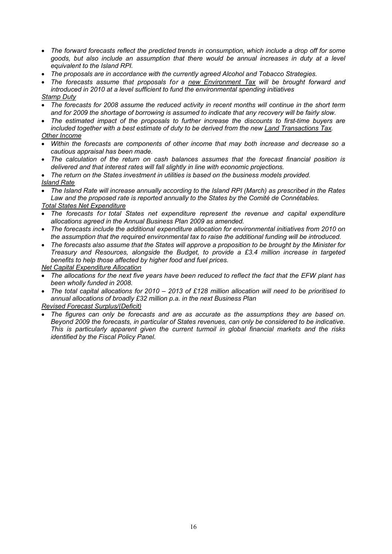- *The forward forecasts reflect the predicted trends in consumption, which include a drop off for some goods, but also include an assumption that there would be annual increases in duty at a level equivalent to the Island RPI.*
- *The proposals are in accordance with the currently agreed Alcohol and Tobacco Strategies.*
- *The forecasts assume that proposals for a new Environment Tax will be brought forward and introduced in 2010 at a level sufficient to fund the environmental spending initiatives*

#### *Stamp Duty*

- *The forecasts for 2008 assume the reduced activity in recent months will continue in the short term and for 2009 the shortage of borrowing is assumed to indicate that any recovery will be fairly slow.*
- *The estimated impact of the proposals to further increase the discounts to first-time buyers are included together with a best estimate of duty to be derived from the new Land Transactions Tax. Other Income*
- *Within the forecasts are components of other income that may both increase and decrease so a cautious appraisal has been made.*
- *The calculation of the return on cash balances assumes that the forecast financial position is delivered and that interest rates will fall slightly in line with economic projections.*
- *The return on the States investment in utilities is based on the business models provided.*
- *Island Rate*
- *The Island Rate will increase annually according to the Island RPI (March) as prescribed in the Rates Law and the proposed rate is reported annually to the States by the Comité de Connétables.*

#### *Total States Net Expenditure*

- *The forecasts for total States net expenditure represent the revenue and capital expenditure allocations agreed in the Annual Business Plan 2009 as amended.*
- *The forecasts include the additional expenditure allocation for environmental initiatives from 2010 on the assumption that the required environmental tax to raise the additional funding will be introduced.*
- *The forecasts also assume that the States will approve a proposition to be brought by the Minister for Treasury and Resources, alongside the Budget, to provide a £3.4 million increase in targeted benefits to help those affected by higher food and fuel prices.*

*Net Capital Expenditure Allocation* 

- *The allocations for the next five years have been reduced to reflect the fact that the EFW plant has been wholly funded in 2008.*
- The total capital allocations for 2010 2013 of £128 million allocation will need to be prioritised to *annual allocations of broadly £32 million p.a. in the next Business Plan*

#### *Revised Forecast Surplus/(Deficit)*

 *The figures can only be forecasts and are as accurate as the assumptions they are based on. Beyond 2009 the forecasts, in particular of States revenues, can only be considered to be indicative. This is particularly apparent given the current turmoil in global financial markets and the risks identified by the Fiscal Policy Panel.*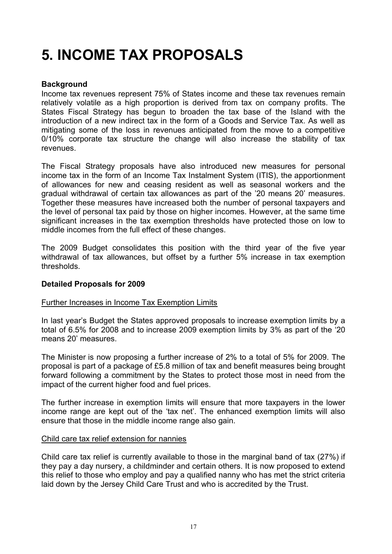## <span id="page-16-0"></span>**5. INCOME TAX PROPOSALS**

#### **Background**

Income tax revenues represent 75% of States income and these tax revenues remain relatively volatile as a high proportion is derived from tax on company profits. The States Fiscal Strategy has begun to broaden the tax base of the Island with the introduction of a new indirect tax in the form of a Goods and Service Tax. As well as mitigating some of the loss in revenues anticipated from the move to a competitive 0/10% corporate tax structure the change will also increase the stability of tax revenues.

The Fiscal Strategy proposals have also introduced new measures for personal income tax in the form of an Income Tax Instalment System (ITIS), the apportionment of allowances for new and ceasing resident as well as seasonal workers and the gradual withdrawal of certain tax allowances as part of the '20 means 20' measures. Together these measures have increased both the number of personal taxpayers and the level of personal tax paid by those on higher incomes. However, at the same time significant increases in the tax exemption thresholds have protected those on low to middle incomes from the full effect of these changes.

The 2009 Budget consolidates this position with the third year of the five year withdrawal of tax allowances, but offset by a further 5% increase in tax exemption thresholds.

#### **Detailed Proposals for 2009**

#### Further Increases in Income Tax Exemption Limits

In last year's Budget the States approved proposals to increase exemption limits by a total of 6.5% for 2008 and to increase 2009 exemption limits by 3% as part of the '20 means 20' measures.

The Minister is now proposing a further increase of 2% to a total of 5% for 2009. The proposal is part of a package of £5.8 million of tax and benefit measures being brought forward following a commitment by the States to protect those most in need from the impact of the current higher food and fuel prices.

The further increase in exemption limits will ensure that more taxpayers in the lower income range are kept out of the 'tax net'. The enhanced exemption limits will also ensure that those in the middle income range also gain.

#### Child care tax relief extension for nannies

Child care tax relief is currently available to those in the marginal band of tax (27%) if they pay a day nursery, a childminder and certain others. It is now proposed to extend this relief to those who employ and pay a qualified nanny who has met the strict criteria laid down by the Jersey Child Care Trust and who is accredited by the Trust.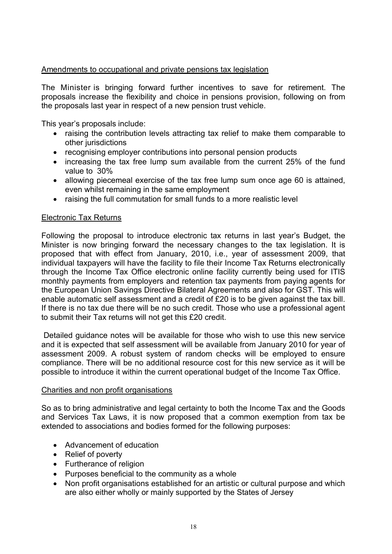#### Amendments to occupational and private pensions tax legislation

The Minister is bringing forward further incentives to save for retirement. The proposals increase the flexibility and choice in pensions provision, following on from the proposals last year in respect of a new pension trust vehicle.

This year's proposals include:

- raising the contribution levels attracting tax relief to make them comparable to other jurisdictions
- recognising employer contributions into personal pension products
- increasing the tax free lump sum available from the current 25% of the fund value to 30%
- allowing piecemeal exercise of the tax free lump sum once age 60 is attained, even whilst remaining in the same employment
- raising the full commutation for small funds to a more realistic level

#### Electronic Tax Returns

Following the proposal to introduce electronic tax returns in last year's Budget, the Minister is now bringing forward the necessary changes to the tax legislation. It is proposed that with effect from January, 2010, i.e., year of assessment 2009, that individual taxpayers will have the facility to file their Income Tax Returns electronically through the Income Tax Office electronic online facility currently being used for ITIS monthly payments from employers and retention tax payments from paying agents for the European Union Savings Directive Bilateral Agreements and also for GST. This will enable automatic self assessment and a credit of £20 is to be given against the tax bill. If there is no tax due there will be no such credit. Those who use a professional agent to submit their Tax returns will not get this £20 credit.

Detailed guidance notes will be available for those who wish to use this new service and it is expected that self assessment will be available from January 2010 for year of assessment 2009. A robust system of random checks will be employed to ensure compliance. There will be no additional resource cost for this new service as it will be possible to introduce it within the current operational budget of the Income Tax Office.

#### Charities and non profit organisations

 extended to associations and bodies formed for the following purposes: So as to bring administrative and legal certainty to both the Income Tax and the Goods and Services Tax Laws, it is now proposed that a common exemption from tax be

- Advancement of education
- Relief of poverty
- Furtherance of religion
- Purposes beneficial to the community as a whole
- Non profit organisations established for an artistic or cultural purpose and which are also either wholly or mainly supported by the States of Jersey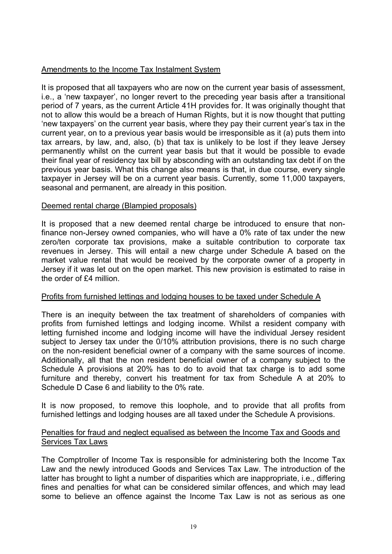#### Amendments to the Income Tax Instalment System

It is proposed that all taxpayers who are now on the current year basis of assessment, i.e., a 'new taxpayer', no longer revert to the preceding year basis after a transitional period of 7 years, as the current Article 41H provides for. It was originally thought that not to allow this would be a breach of Human Rights, but it is now thought that putting 'new taxpayers' on the current year basis, where they pay their current year's tax in the current year, on to a previous year basis would be irresponsible as it (a) puts them into tax arrears, by law, and, also, (b) that tax is unlikely to be lost if they leave Jersey permanently whilst on the current year basis but that it would be possible to evade their final year of residency tax bill by absconding with an outstanding tax debt if on the previous year basis. What this change also means is that, in due course, every single taxpayer in Jersey will be on a current year basis. Currently, some 11,000 taxpayers, seasonal and permanent, are already in this position.

#### Deemed rental charge (Blampied proposals)

It is proposed that a new deemed rental charge be introduced to ensure that nonfinance non-Jersey owned companies, who will have a 0% rate of tax under the new zero/ten corporate tax provisions, make a suitable contribution to corporate tax revenues in Jersey. This will entail a new charge under Schedule A based on the market value rental that would be received by the corporate owner of a property in Jersey if it was let out on the open market. This new provision is estimated to raise in the order of £4 million

#### Profits from furnished lettings and lodging houses to be taxed under Schedule A

There is an inequity between the tax treatment of shareholders of companies with profits from furnished lettings and lodging income. Whilst a resident company with letting furnished income and lodging income will have the individual Jersey resident subject to Jersey tax under the 0/10% attribution provisions, there is no such charge on the non-resident beneficial owner of a company with the same sources of income. Additionally, all that the non resident beneficial owner of a company subject to the Schedule A provisions at 20% has to do to avoid that tax charge is to add some furniture and thereby, convert his treatment for tax from Schedule A at 20% to Schedule D Case 6 and liability to the 0% rate.

It is now proposed, to remove this loophole, and to provide that all profits from furnished lettings and lodging houses are all taxed under the Schedule A provisions.

#### Penalties for fraud and neglect equalised as between the Income Tax and Goods and Services Tax Laws

The Comptroller of Income Tax is responsible for administering both the Income Tax Law and the newly introduced Goods and Services Tax Law. The introduction of the latter has brought to light a number of disparities which are inappropriate, i.e., differing fines and penalties for what can be considered similar offences, and which may lead some to believe an offence against the Income Tax Law is not as serious as one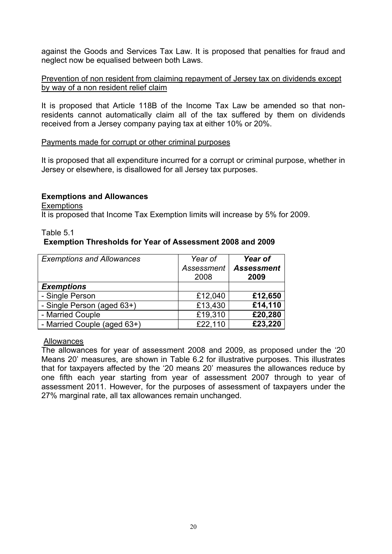against the Goods and Services Tax Law. It is proposed that penalties for fraud and neglect now be equalised between both Laws.

#### Prevention of non resident from claiming repayment of Jersey tax on dividends except by way of a non resident relief claim

It is proposed that Article 118B of the Income Tax Law be amended so that nonresidents cannot automatically claim all of the tax suffered by them on dividends received from a Jersey company paying tax at either 10% or 20%.

#### Payments made for corrupt or other criminal purposes

It is proposed that all expenditure incurred for a corrupt or criminal purpose, whether in Jersey or elsewhere, is disallowed for all Jersey tax purposes.

#### **Exemptions and Allowances**

**Exemptions** 

It is proposed that Income Tax Exemption limits will increase by 5% for 2009.

#### Table 5.1 **Exemption Thresholds for Year of Assessment 2008 and 2009**

| <b>Exemptions and Allowances</b> | Year of<br>Assessment<br>2008 | Year of<br><b>Assessment</b><br>2009 |
|----------------------------------|-------------------------------|--------------------------------------|
| <b>Exemptions</b>                |                               |                                      |
| - Single Person                  | £12,040                       | £12,650                              |
| - Single Person (aged 63+)       | £13,430                       | £14,110                              |
| - Married Couple                 | £19,310                       | £20,280                              |
| - Married Couple (aged 63+)      | £22,110                       | £23,220                              |

#### Allowances

The allowances for year of assessment 2008 and 2009, as proposed under the '20 Means 20' measures, are shown in Table 6.2 for illustrative purposes. This illustrates that for taxpayers affected by the '20 means 20' measures the allowances reduce by one fifth each year starting from year of assessment 2007 through to year of assessment 2011. However, for the purposes of assessment of taxpayers under the 27% marginal rate, all tax allowances remain unchanged.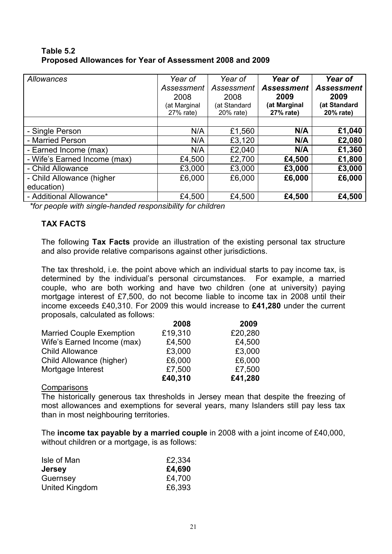| Table 5.2 |                                                          |
|-----------|----------------------------------------------------------|
|           | Proposed Allowances for Year of Assessment 2008 and 2009 |

| Allowances                   | Year of<br>Assessment<br>2008<br>(at Marginal | Year of<br>Assessment<br>2008<br>(at Standard | Year of<br><b>Assessment</b><br>2009<br>(at Marginal | Year of<br><b>Assessment</b><br>2009<br>(at Standard |
|------------------------------|-----------------------------------------------|-----------------------------------------------|------------------------------------------------------|------------------------------------------------------|
|                              | 27% rate)                                     | 20% rate)                                     | 27% rate)                                            | 20% rate)                                            |
|                              |                                               |                                               |                                                      |                                                      |
| - Single Person              | N/A                                           | £1,560                                        | N/A                                                  | £1,040                                               |
| - Married Person             | N/A                                           | £3,120                                        | N/A                                                  | £2,080                                               |
| - Earned Income (max)        | N/A                                           | £2,040                                        | N/A                                                  | £1,360                                               |
| - Wife's Earned Income (max) | £4,500                                        | £2,700                                        | £4,500                                               | £1,800                                               |
| - Child Allowance            | £3,000                                        | £3,000                                        | £3,000                                               | £3,000                                               |
| - Child Allowance (higher    | £6,000                                        | £6,000                                        | £6,000                                               | £6,000                                               |
| education)                   |                                               |                                               |                                                      |                                                      |
| - Additional Allowance*      | £4,500                                        | £4,500                                        | £4,500                                               | £4,500                                               |

*\*for people with single-handed responsibility for children* 

#### **TAX FACTS**

The following **Tax Facts** provide an illustration of the existing personal tax structure and also provide relative comparisons against other jurisdictions.

The tax threshold, i.e. the point above which an individual starts to pay income tax, is determined by the individual's personal circumstances. For example, a married couple, who are both working and have two children (one at university) paying mortgage interest of £7,500, do not become liable to income tax in 2008 until their income exceeds £40,310. For 2009 this would increase to **£41,280** under the current proposals, calculated as follows:

|                                 | 2008    | 2009    |
|---------------------------------|---------|---------|
| <b>Married Couple Exemption</b> | £19,310 | £20,280 |
| Wife's Earned Income (max)      | £4,500  | £4,500  |
| <b>Child Allowance</b>          | £3,000  | £3,000  |
| Child Allowance (higher)        | £6,000  | £6,000  |
| Mortgage Interest               | £7,500  | £7,500  |
|                                 | £40,310 | £41,280 |

#### **Comparisons**

The historically generous tax thresholds in Jersey mean that despite the freezing of most allowances and exemptions for several years, many Islanders still pay less tax than in most neighbouring territories.

The **income tax payable by a married couple** in 2008 with a joint income of £40,000, without children or a mortgage, is as follows:

| Isle of Man    | £2,334 |
|----------------|--------|
| <b>Jersey</b>  | £4,690 |
| Guernsey       | £4,700 |
| United Kingdom | £6,393 |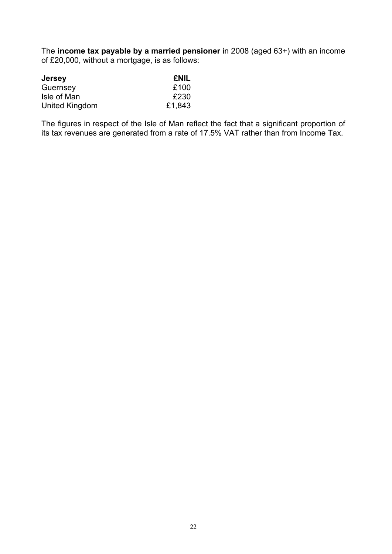The **income tax payable by a married pensioner** in 2008 (aged 63+) with an income of £20,000, without a mortgage, is as follows:

| <b>Jersey</b>  | <b>ENIL</b> |
|----------------|-------------|
| Guernsey       | £100        |
| Isle of Man    | £230        |
| United Kingdom | £1,843      |

The figures in respect of the Isle of Man reflect the fact that a significant proportion of its tax revenues are generated from a rate of 17.5% VAT rather than from Income Tax.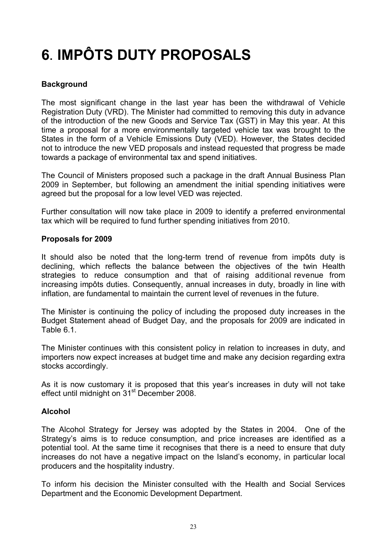# <span id="page-22-0"></span>**6**. **IMPÔTS DUTY PROPOSALS**

#### **Background**

The most significant change in the last year has been the withdrawal of Vehicle Registration Duty (VRD). The Minister had committed to removing this duty in advance of the introduction of the new Goods and Service Tax (GST) in May this year. At this time a proposal for a more environmentally targeted vehicle tax was brought to the States in the form of a Vehicle Emissions Duty (VED). However, the States decided not to introduce the new VED proposals and instead requested that progress be made towards a package of environmental tax and spend initiatives.

The Council of Ministers proposed such a package in the draft Annual Business Plan 2009 in September, but following an amendment the initial spending initiatives were agreed but the proposal for a low level VED was rejected.

Further consultation will now take place in 2009 to identify a preferred environmental tax which will be required to fund further spending initiatives from 2010.

#### **Proposals for 2009**

It should also be noted that the long-term trend of revenue from impôts duty is declining, which reflects the balance between the objectives of the twin Health strategies to reduce consumption and that of raising additional revenue from increasing impôts duties. Consequently, annual increases in duty, broadly in line with inflation, are fundamental to maintain the current level of revenues in the future.

The Minister is continuing the policy of including the proposed duty increases in the Budget Statement ahead of Budget Day, and the proposals for 2009 are indicated in Table 6.1.

The Minister continues with this consistent policy in relation to increases in duty, and importers now expect increases at budget time and make any decision regarding extra stocks accordingly.

As it is now customary it is proposed that this year's increases in duty will not take effect until midnight on 31<sup>st</sup> December 2008.

#### **Alcohol**

The Alcohol Strategy for Jersey was adopted by the States in 2004. One of the Strategy's aims is to reduce consumption, and price increases are identified as a potential tool. At the same time it recognises that there is a need to ensure that duty increases do not have a negative impact on the Island's economy, in particular local producers and the hospitality industry.

To inform his decision the Minister consulted with the Health and Social Services Department and the Economic Development Department.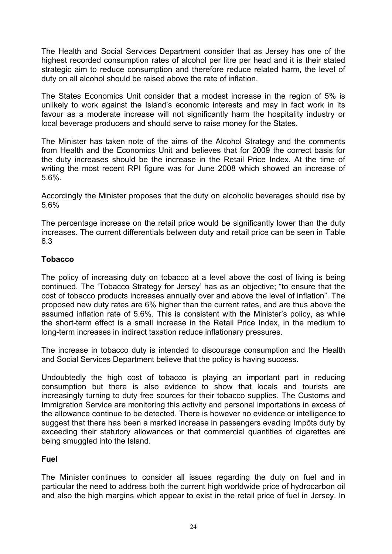The Health and Social Services Department consider that as Jersey has one of the highest recorded consumption rates of alcohol per litre per head and it is their stated strategic aim to reduce consumption and therefore reduce related harm, the level of duty on all alcohol should be raised above the rate of inflation.

The States Economics Unit consider that a modest increase in the region of 5% is unlikely to work against the Island's economic interests and may in fact work in its favour as a moderate increase will not significantly harm the hospitality industry or local beverage producers and should serve to raise money for the States.

The Minister has taken note of the aims of the Alcohol Strategy and the comments from Health and the Economics Unit and believes that for 2009 the correct basis for the duty increases should be the increase in the Retail Price Index. At the time of writing the most recent RPI figure was for June 2008 which showed an increase of 5.6%.

Accordingly the Minister proposes that the duty on alcoholic beverages should rise by 5.6%

The percentage increase on the retail price would be significantly lower than the duty increases. The current differentials between duty and retail price can be seen in Table 6.3

#### **Tobacco**

The policy of increasing duty on tobacco at a level above the cost of living is being continued. The 'Tobacco Strategy for Jersey' has as an objective; "to ensure that the cost of tobacco products increases annually over and above the level of inflation". The proposed new duty rates are 6% higher than the current rates, and are thus above the assumed inflation rate of 5.6%. This is consistent with the Minister's policy, as while the short-term effect is a small increase in the Retail Price Index, in the medium to long-term increases in indirect taxation reduce inflationary pressures.

The increase in tobacco duty is intended to discourage consumption and the Health and Social Services Department believe that the policy is having success.

Undoubtedly the high cost of tobacco is playing an important part in reducing consumption but there is also evidence to show that locals and tourists are increasingly turning to duty free sources for their tobacco supplies. The Customs and Immigration Service are monitoring this activity and personal importations in excess of the allowance continue to be detected. There is however no evidence or intelligence to suggest that there has been a marked increase in passengers evading Impôts duty by exceeding their statutory allowances or that commercial quantities of cigarettes are being smuggled into the Island.

#### **Fuel**

The Minister continues to consider all issues regarding the duty on fuel and in particular the need to address both the current high worldwide price of hydrocarbon oil and also the high margins which appear to exist in the retail price of fuel in Jersey. In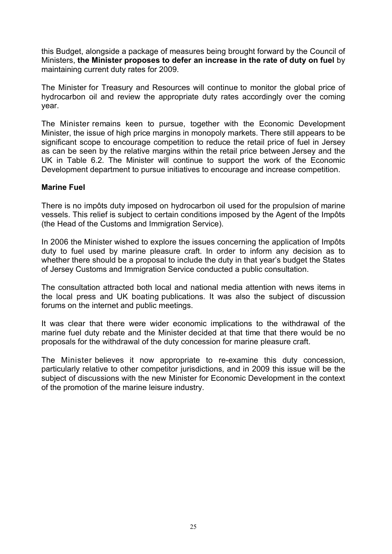this Budget, alongside a package of measures being brought forward by the Council of Ministers, **the Minister proposes to defer an increase in the rate of duty on fuel** by maintaining current duty rates for 2009.

The Minister for Treasury and Resources will continue to monitor the global price of hydrocarbon oil and review the appropriate duty rates accordingly over the coming year.

The Minister remains keen to pursue, together with the Economic Development Minister, the issue of high price margins in monopoly markets. There still appears to be significant scope to encourage competition to reduce the retail price of fuel in Jersey as can be seen by the relative margins within the retail price between Jersey and the UK in Table 6.2. The Minister will continue to support the work of the Economic Development department to pursue initiatives to encourage and increase competition.

#### **Marine Fuel**

There is no impôts duty imposed on hydrocarbon oil used for the propulsion of marine vessels. This relief is subject to certain conditions imposed by the Agent of the Impôts (the Head of the Customs and Immigration Service).

In 2006 the Minister wished to explore the issues concerning the application of Impôts duty to fuel used by marine pleasure craft. In order to inform any decision as to whether there should be a proposal to include the duty in that year's budget the States of Jersey Customs and Immigration Service conducted a public consultation.

The consultation attracted both local and national media attention with news items in the local press and UK boating publications. It was also the subject of discussion forums on the internet and public meetings.

It was clear that there were wider economic implications to the withdrawal of the marine fuel duty rebate and the Minister decided at that time that there would be no proposals for the withdrawal of the duty concession for marine pleasure craft.

The Minister believes it now appropriate to re-examine this duty concession, particularly relative to other competitor jurisdictions, and in 2009 this issue will be the subject of discussions with the new Minister for Economic Development in the context of the promotion of the marine leisure industry.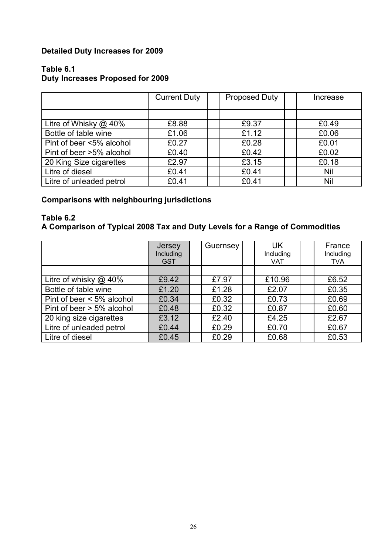#### **Detailed Duty Increases for 2009**

#### **Table 6.1**

#### **Duty Increases Proposed for 2009**

|                          | <b>Current Duty</b> | <b>Proposed Duty</b> | Increase |
|--------------------------|---------------------|----------------------|----------|
|                          |                     |                      |          |
| Litre of Whisky $@$ 40%  | £8.88               | £9.37                | £0.49    |
| Bottle of table wine     | £1.06               | £1.12                | £0.06    |
| Pint of beer <5% alcohol | £0.27               | £0.28                | £0.01    |
| Pint of beer >5% alcohol | £0.40               | £0.42                | £0.02    |
| 20 King Size cigarettes  | £2.97               | £3.15                | £0.18    |
| Litre of diesel          | £0.41               | £0.41                | Nil      |
| Litre of unleaded petrol | £0.41               | £0.41                | Nil      |

#### **Comparisons with neighbouring jurisdictions**

#### **Table 6.2 A Comparison of Typical 2008 Tax and Duty Levels for a Range of Commodities**

|                                 | Jersey<br>Including<br><b>GST</b> | Guernsey | UK.<br>Including<br><b>VAT</b> | France<br>Including<br>TVA |
|---------------------------------|-----------------------------------|----------|--------------------------------|----------------------------|
|                                 |                                   |          |                                |                            |
| Litre of whisky $@$ 40%         | £9.42                             | £7.97    | £10.96                         | £6.52                      |
| Bottle of table wine            | £1.20                             | £1.28    | £2.07                          | £0.35                      |
| Pint of beer $\leq 5\%$ alcohol | £0.34                             | £0.32    | £0.73                          | £0.69                      |
| Pint of beer $> 5\%$ alcohol    | £0.48                             | £0.32    | £0.87                          | £0.60                      |
| 20 king size cigarettes         | £3.12                             | £2.40    | £4.25                          | £2.67                      |
| Litre of unleaded petrol        | £0.44                             | £0.29    | £0.70                          | £0.67                      |
| Litre of diesel                 | £0.45                             | £0.29    | £0.68                          | £0.53                      |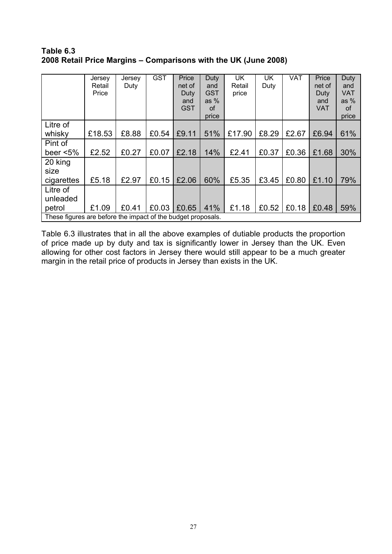**Table 6.3 2008 Retail Price Margins – Comparisons with the UK (June 2008)** �

|                                                              | Jersey | Jersey | <b>GST</b> | Price      | Duty       | <b>UK</b> | UK    | VAT   | Price  | Duty       |
|--------------------------------------------------------------|--------|--------|------------|------------|------------|-----------|-------|-------|--------|------------|
|                                                              | Retail | Duty   |            | net of     | and        | Retail    | Duty  |       | net of | and        |
|                                                              | Price  |        |            | Duty       | <b>GST</b> | price     |       |       | Duty   | <b>VAT</b> |
|                                                              |        |        |            | and        | as $%$     |           |       |       | and    | as $%$     |
|                                                              |        |        |            | <b>GST</b> | <b>of</b>  |           |       |       | VAT    | οf         |
|                                                              |        |        |            |            | price      |           |       |       |        | price      |
| Litre of                                                     |        |        |            |            |            |           |       |       |        |            |
| whisky                                                       | £18.53 | £8.88  | £0.54      | £9.11      | 51%        | £17.90    | £8.29 | £2.67 | £6.94  | 61%        |
| Pint of                                                      |        |        |            |            |            |           |       |       |        |            |
| beer $< 5\%$                                                 | £2.52  | £0.27  | £0.07      | £2.18      | 14%        | £2.41     | £0.37 | £0.36 | £1.68  | 30%        |
| 20 king                                                      |        |        |            |            |            |           |       |       |        |            |
| size                                                         |        |        |            |            |            |           |       |       |        |            |
| cigarettes                                                   | £5.18  | £2.97  | £0.15      | £2.06      | 60%        | £5.35     | £3.45 | £0.80 | £1.10  | 79%        |
| Litre of                                                     |        |        |            |            |            |           |       |       |        |            |
| unleaded                                                     |        |        |            |            |            |           |       |       |        |            |
| petrol                                                       | £1.09  | £0.41  | £0.03      | £0.65      | 41%        | £1.18     | £0.52 | £0.18 | £0.48  | 59%        |
| These figures are before the impact of the budget proposals. |        |        |            |            |            |           |       |       |        |            |

Table 6.3 illustrates that in all the above examples of dutiable products the proportion of price made up by duty and tax is significantly lower in Jersey than the UK. Even allowing for other cost factors in Jersey there would still appear to be a much greater margin in the retail price of products in Jersey than exists in the UK.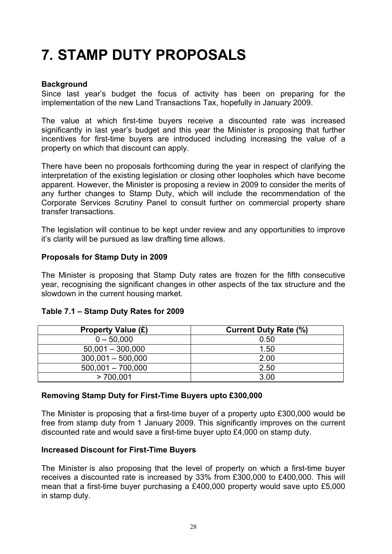### **7. STAMP DUTY PROPOSALS**

#### **Background**

Since last year's budget the focus of activity has been on preparing for the implementation of the new Land Transactions Tax, hopefully in January 2009.

The value at which first-time buyers receive a discounted rate was increased significantly in last year's budget and this year the Minister is proposing that further incentives for first-time buyers are introduced including increasing the value of a property on which that discount can apply.

There have been no proposals forthcoming during the year in respect of clarifying the interpretation of the existing legislation or closing other loopholes which have become apparent. However, the Minister is proposing a review in 2009 to consider the merits of any further changes to Stamp Duty, which will include the recommendation of the Corporate Services Scrutiny Panel to consult further on commercial property share transfer transactions.

The legislation will continue to be kept under review and any opportunities to improve it's clarity will be pursued as law drafting time allows.

#### **Proposals for Stamp Duty in 2009**

The Minister is proposing that Stamp Duty rates are frozen for the fifth consecutive year, recognising the significant changes in other aspects of the tax structure and the slowdown in the current housing market.

#### **Table 7.1 – Stamp Duty Rates for 2009**

| <b>Property Value (£)</b> | <b>Current Duty Rate (%)</b> |
|---------------------------|------------------------------|
| $0 - 50,000$              | 0.50                         |
| $50,001 - 300,000$        | 1.50                         |
| $300,001 - 500,000$       | 2.00                         |
| $500,001 - 700,000$       | 2.50                         |
| >700.001                  | 3.00                         |

#### **Removing Stamp Duty for First-Time Buyers upto £300,000**

The Minister is proposing that a first-time buyer of a property upto £300,000 would be free from stamp duty from 1 January 2009. This significantly improves on the current discounted rate and would save a first-time buyer upto £4,000 on stamp duty.

#### **Increased Discount for First-Time Buyers**

The Minister is also proposing that the level of property on which a first-time buyer receives a discounted rate is increased by 33% from £300,000 to £400,000. This will mean that a first-time buyer purchasing a £400,000 property would save upto £5,000 in stamp duty.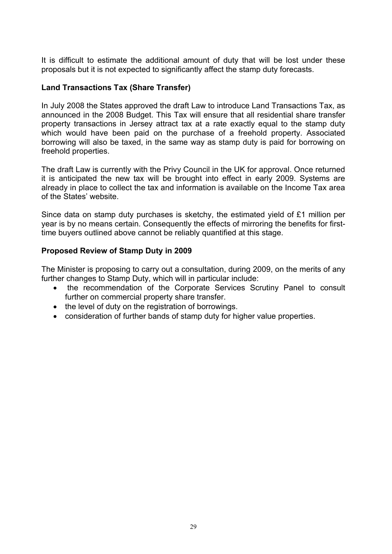It is difficult to estimate the additional amount of duty that will be lost under these proposals but it is not expected to significantly affect the stamp duty forecasts.

#### **Land Transactions Tax (Share Transfer)**

In July 2008 the States approved the draft Law to introduce Land Transactions Tax, as announced in the 2008 Budget. This Tax will ensure that all residential share transfer property transactions in Jersey attract tax at a rate exactly equal to the stamp duty which would have been paid on the purchase of a freehold property. Associated borrowing will also be taxed, in the same way as stamp duty is paid for borrowing on freehold properties.

The draft Law is currently with the Privy Council in the UK for approval. Once returned it is anticipated the new tax will be brought into effect in early 2009. Systems are already in place to collect the tax and information is available on the Income Tax area of the States' website.

Since data on stamp duty purchases is sketchy, the estimated yield of £1 million per year is by no means certain. Consequently the effects of mirroring the benefits for firsttime buyers outlined above cannot be reliably quantified at this stage.

#### **Proposed Review of Stamp Duty in 2009**

The Minister is proposing to carry out a consultation, during 2009, on the merits of any further changes to Stamp Duty, which will in particular include:

- the recommendation of the Corporate Services Scrutiny Panel to consult further on commercial property share transfer.
- the level of duty on the registration of borrowings.
- consideration of further bands of stamp duty for higher value properties.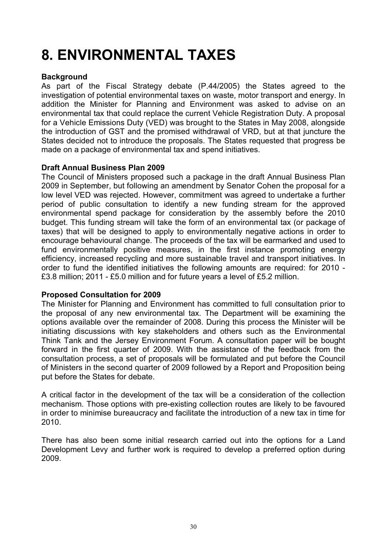## <span id="page-29-0"></span>**8. ENVIRONMENTAL TAXES**

#### **Background**

As part of the Fiscal Strategy debate (P.44/2005) the States agreed to the investigation of potential environmental taxes on waste, motor transport and energy. In addition the Minister for Planning and Environment was asked to advise on an environmental tax that could replace the current Vehicle Registration Duty. A proposal for a Vehicle Emissions Duty (VED) was brought to the States in May 2008, alongside the introduction of GST and the promised withdrawal of VRD, but at that juncture the States decided not to introduce the proposals. The States requested that progress be made on a package of environmental tax and spend initiatives.

#### **Draft Annual Business Plan 2009**

The Council of Ministers proposed such a package in the draft Annual Business Plan 2009 in September, but following an amendment by Senator Cohen the proposal for a low level VED was rejected. However, commitment was agreed to undertake a further period of public consultation to identify a new funding stream for the approved environmental spend package for consideration by the assembly before the 2010 budget. This funding stream will take the form of an environmental tax (or package of taxes) that will be designed to apply to environmentally negative actions in order to encourage behavioural change. The proceeds of the tax will be earmarked and used to fund environmentally positive measures, in the first instance promoting energy efficiency, increased recycling and more sustainable travel and transport initiatives. In order to fund the identified initiatives the following amounts are required: for 2010 - £3.8 million; 2011 - £5.0 million and for future years a level of £5.2 million.

#### **Proposed Consultation for 2009**

The Minister for Planning and Environment has committed to full consultation prior to the proposal of any new environmental tax. The Department will be examining the options available over the remainder of 2008. During this process the Minister will be initiating discussions with key stakeholders and others such as the Environmental Think Tank and the Jersey Environment Forum. A consultation paper will be bought forward in the first quarter of 2009. With the assistance of the feedback from the consultation process, a set of proposals will be formulated and put before the Council of Ministers in the second quarter of 2009 followed by a Report and Proposition being put before the States for debate.

A critical factor in the development of the tax will be a consideration of the collection mechanism. Those options with pre-existing collection routes are likely to be favoured in order to minimise bureaucracy and facilitate the introduction of a new tax in time for 2010.

There has also been some initial research carried out into the options for a Land Development Levy and further work is required to develop a preferred option during 2009.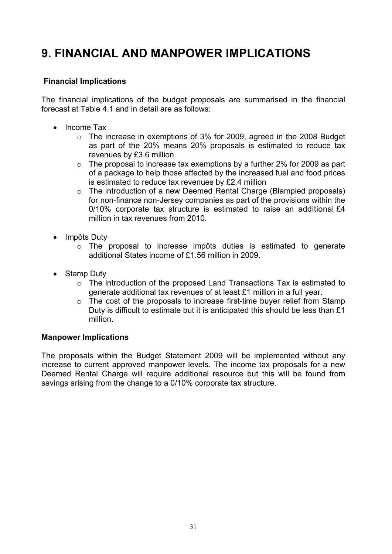### <span id="page-30-0"></span>**9. FINANCIAL AND MANPOWER IMPLICATIONS**

#### **Financial Implications**

The financial implications of the budget proposals are summarised in the financial forecast at Table 4.1 and in detail are as follows:

- Income Tax
	- $\circ$  The increase in exemptions of 3% for 2009, agreed in the 2008 Budget as part of the 20% means 20% proposals is estimated to reduce tax revenues by £3.6 million
	- $\circ$  The proposal to increase tax exemptions by a further 2% for 2009 as part of a package to help those affected by the increased fuel and food prices is estimated to reduce tax revenues by £2.4 million
	- $\circ$  The introduction of a new Deemed Rental Charge (Blampied proposals) for non-finance non-Jersey companies as part of the provisions within the 0/10% corporate tax structure is estimated to raise an additional £4 million in tax revenues from 2010.
- Impôts Duty
	- $\circ$  The proposal to increase impôts duties is estimated to generate additional States income of £1.56 million in 2009.
- Stamp Duty
	- $\circ$  The introduction of the proposed Land Transactions Tax is estimated to generate additional tax revenues of at least £1 million in a full year.
	- $\circ$  The cost of the proposals to increase first-time buyer relief from Stamp Duty is difficult to estimate but it is anticipated this should be less than £1 million.

#### **Manpower Implications**

The proposals within the Budget Statement 2009 will be implemented without any increase to current approved manpower levels. The income tax proposals for a new Deemed Rental Charge will require additional resource but this will be found from savings arising from the change to a 0/10% corporate tax structure.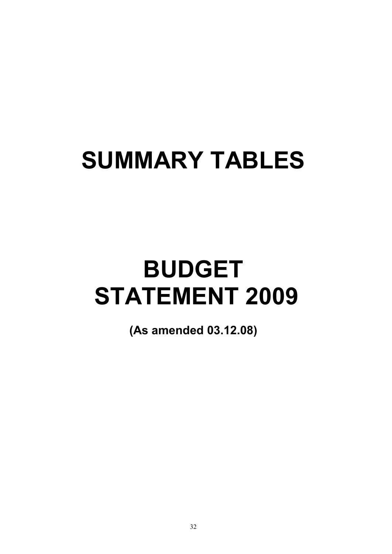# **SUMMARY TABLES**

# **BUDGET STATEMENT 2009**

**(As amended 03.12.08)**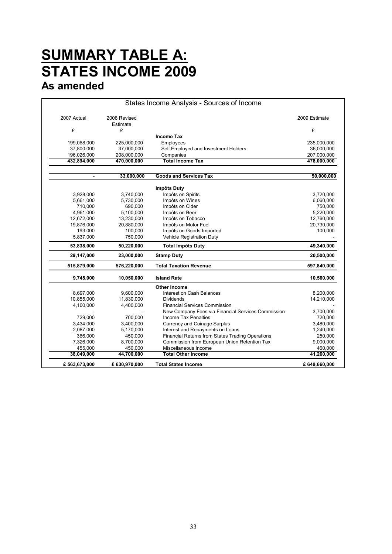### **SUMMARY TABLE A:** � **STATES INCOME 2009 As amended**

| 2007 Actual            | 2008 Revised<br>Estimate |                                                    | 2009 Estimate                      |
|------------------------|--------------------------|----------------------------------------------------|------------------------------------|
| £                      | £                        |                                                    | £                                  |
|                        |                          | <b>Income Tax</b>                                  |                                    |
| 199,068,000            | 225,000,000              | Employees                                          | 235,000,000                        |
| 37,800,000             | 37,000,000               | Self Employed and Investment Holders               | 36,000,000                         |
| 196,026,000            | 208,000,000              | Companies                                          | 207,000,000                        |
| 432,894,000            | 470,000,000              | <b>Total Income Tax</b>                            | 478,000,000                        |
| $\sim$                 | 33,000,000               | <b>Goods and Services Tax</b>                      | 50,000,000                         |
|                        |                          | Impôts Duty                                        |                                    |
| 3,928,000              | 3,740,000                | Impôts on Spirits                                  | 3,720,000                          |
| 5,661,000              | 5,730,000                | Impôts on Wines                                    | 6,060,000                          |
| 710,000                | 690,000                  | Impôts on Cider                                    | 750,000                            |
| 4,961,000              | 5,100,000                | Impôts on Beer                                     | 5,220,000                          |
| 12,672,000             | 13,230,000               | Impôts on Tobacco                                  | 12,760,000                         |
| 19,876,000             | 20,880,000               | Impôts on Motor Fuel                               | 20,730,000                         |
| 193,000                | 100,000                  | Impôts on Goods Imported                           | 100,000                            |
| 5,837,000              | 750,000                  | Vehicle Registration Duty                          |                                    |
| 53,838,000             | 50,220,000               | <b>Total Impôts Duty</b>                           | 49,340,000                         |
| 29,147,000             | 23,000,000               | <b>Stamp Duty</b>                                  | 20,500,000                         |
| 515,879,000            | 576,220,000              | <b>Total Taxation Revenue</b>                      | 597,840,000                        |
| 9,745,000              | 10,050,000               | <b>Island Rate</b>                                 | 10,560,000                         |
|                        |                          | <b>Other Income</b>                                |                                    |
| 8,697,000              | 9,600,000                | Interest on Cash Balances                          | 8,200,000                          |
| 10,855,000             | 11,830,000               | <b>Dividends</b>                                   | 14,210,000                         |
| 4,100,000              | 4,400,000                | <b>Financial Services Commission</b>               |                                    |
|                        |                          | New Company Fees via Financial Services Commission | 3,700,000                          |
| 729,000                | 700,000                  | Income Tax Penalties                               | 720,000                            |
| 3,434,000<br>2,087,000 | 3,400,000                | <b>Currency and Coinage Surplus</b>                | 3,480,000                          |
|                        | 5,170,000                | Interest and Repayments on Loans                   | 1,240,000                          |
|                        | 450,000                  | Financial Returns from States Trading Operations   | 250,000                            |
| 366,000                |                          |                                                    |                                    |
| 7,326,000              | 8,700,000                | Commission from European Union Retention Tax       |                                    |
| 455,000<br>38,049,000  | 450,000<br>44,700,000    | Miscellaneous Income<br><b>Total Other Income</b>  | 9,000,000<br>460,000<br>41,260,000 |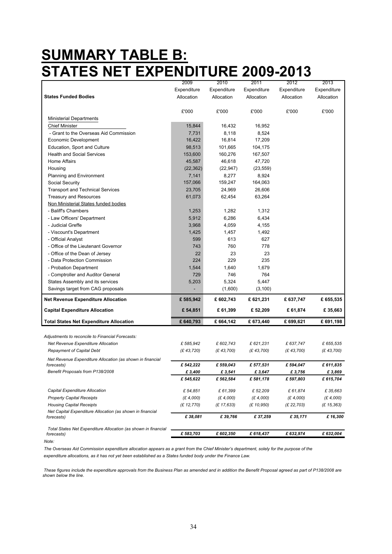### **SUMMARY TABLE B: STATES NET EXPENDITURE 2009-2013**

|                                                                | 2009        | 2010        | 2011        | 2012        | 2013        |
|----------------------------------------------------------------|-------------|-------------|-------------|-------------|-------------|
|                                                                | Expenditure | Expenditure | Expenditure | Expenditure | Expenditure |
| <b>States Funded Bodies</b>                                    | Allocation  | Allocation  | Allocation  | Allocation  | Allocation  |
|                                                                | £'000       | £'000       | £'000       | £'000       | £'000       |
| <b>Ministerial Departments</b>                                 |             |             |             |             |             |
| <b>Chief Minister</b>                                          | 15,844      | 16,432      | 16,952      |             |             |
| - Grant to the Overseas Aid Commission                         | 7,731       | 8,118       | 8,524       |             |             |
| Economic Development                                           | 16,422      | 16,814      | 17,209      |             |             |
| Education, Sport and Culture                                   | 98,513      | 101,665     | 104,175     |             |             |
| <b>Health and Social Services</b>                              | 153,600     | 160,276     | 167,507     |             |             |
| Home Affairs                                                   | 45,587      | 46,618      | 47,720      |             |             |
| Housing                                                        | (22, 362)   | (22, 947)   | (23, 559)   |             |             |
| Planning and Environment                                       | 7,141       | 8,277       | 8,924       |             |             |
| Social Security                                                | 157,066     | 159,247     | 164,063     |             |             |
| <b>Transport and Technical Services</b>                        | 23,705      | 24,969      | 26,606      |             |             |
| <b>Treasury and Resources</b>                                  | 61,073      | 62,454      | 63,264      |             |             |
| Non Ministerial States funded bodies                           |             |             |             |             |             |
| - Baliff's Chambers                                            | 1,253       | 1,282       | 1,312       |             |             |
| - Law Officers' Department                                     | 5,912       | 6,286       | 6.434       |             |             |
| - Judicial Greffe                                              | 3,968       | 4,059       | 4,155       |             |             |
| - Viscount's Department                                        | 1,425       | 1,457       | 1,492       |             |             |
| - Official Analyst                                             | 599         | 613         | 627         |             |             |
| - Office of the Lieutenant Governor                            | 743         | 760         | 778         |             |             |
| - Office of the Dean of Jersey                                 | 22          | 23          | 23          |             |             |
| - Data Protection Commission                                   | 224         | 229         | 235         |             |             |
| - Probation Department                                         | 1,544       | 1,640       | 1,679       |             |             |
| - Comptroller and Auditor General                              | 729         | 746         | 764         |             |             |
| States Assembly and its services                               | 5,203       | 5,324       | 5,447       |             |             |
| Savings target from CAG proposals                              |             | (1,600)     | (3, 100)    |             |             |
| <b>Net Revenue Expenditure Allocation</b>                      | £585,942    | £602,743    | £621,231    | £637,747    | £655,535    |
| <b>Capital Expenditure Allocation</b>                          | £ 54,851    | £61,399     | £ 52,209    | £ 61,874    | £35,663     |
| <b>Total States Net Expenditure Allocation</b>                 | £640,793    | £664,142    | £673,440    | £699,621    | £ 691,198   |
|                                                                |             |             |             |             |             |
| Adjustments to reconcile to Financial Forecasts:               |             |             |             |             |             |
| Net Revenue Expenditure Allocation                             | £ 585,942   | £ 602,743   | £621,231    | £ 637,747   | £ 655,535   |
| <b>Repayment of Capital Debt</b>                               | (E 43, 720) | (E 43,700)  | (E 43,700)  | (E 43,700)  | (E 43,700)  |
| Net Revenue Expenditure Allocation (as shown in financial      |             |             |             |             |             |
| forecasts)                                                     | £542,222    | £559,043    | £ 577,531   | £594,047    | £611,835    |
| Benefit Proposals from P138/2008                               | £ 3,400     | £ 3,541     | £3,647      | £3,756      | £3,869      |
|                                                                | £ 545,622   | £ 562,584   | £ 581,178   | £597,803    | £ 615,704   |
| Capital Expenditure Allocation                                 | £ 54,851    | £61,399     | £ 52,209    | £61,874     | £35,663     |
| <b>Property Capital Receipts</b>                               | (E 4,000)   | (E 4,000)   | (E 4,000)   | (E 4,000)   | (E 4,000)   |
| <b>Housing Capital Receipts</b>                                | (£ 12,770)  | (£ 17,633)  | (£ 10,950)  | (£ 22,703)  | (E 15, 363) |
| Net Capital Expenditure Allocation (as shown in financial      |             |             |             |             |             |
| forecasts)                                                     | £ 38,081    | £39,766     | £37,259     | £ 35,171    | £16,300     |
| Total States Net Expenditure Allocation (as shown in financial |             |             |             |             |             |
| forecasts)                                                     | £ 583,703   | £ 602,350   | £ 618,437   | £ 632,974   | £ 632,004   |

*Note:*

*The Overseas Aid Commission expenditure allocation appears as a grant from the Chief Minister's department, solely for the purpose of the expenditure allocations, as it has not yet been established as a States funded body under the Finance Law.*

 *These figures include the expenditure approvals from the Business Plan as amended and in addition the Benefit Proposal agreed as part of P138/2008 are shown below the line.*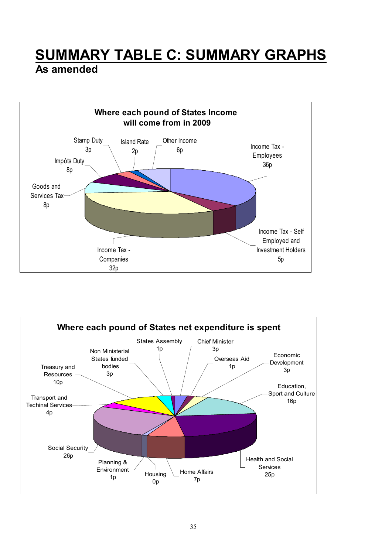### <span id="page-34-0"></span>**SUMMARY TABLE C: SUMMARY GRAPHS**

#### **As amended**